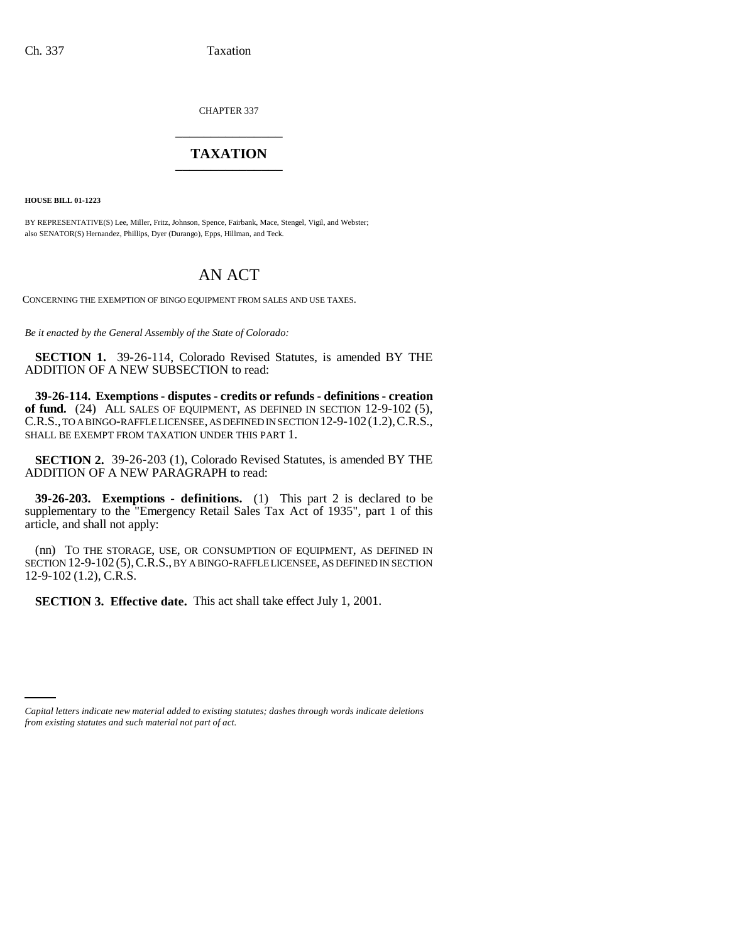CHAPTER 337 \_\_\_\_\_\_\_\_\_\_\_\_\_\_\_

## **TAXATION** \_\_\_\_\_\_\_\_\_\_\_\_\_\_\_

**HOUSE BILL 01-1223**

BY REPRESENTATIVE(S) Lee, Miller, Fritz, Johnson, Spence, Fairbank, Mace, Stengel, Vigil, and Webster; also SENATOR(S) Hernandez, Phillips, Dyer (Durango), Epps, Hillman, and Teck.

## AN ACT

CONCERNING THE EXEMPTION OF BINGO EQUIPMENT FROM SALES AND USE TAXES.

*Be it enacted by the General Assembly of the State of Colorado:*

**SECTION 1.** 39-26-114, Colorado Revised Statutes, is amended BY THE ADDITION OF A NEW SUBSECTION to read:

**39-26-114. Exemptions - disputes - credits or refunds - definitions - creation** of fund. (24) ALL SALES OF EQUIPMENT, AS DEFINED IN SECTION 12-9-102 (5), C.R.S., TO A BINGO-RAFFLE LICENSEE, AS DEFINED IN SECTION 12-9-102(1.2),C.R.S., SHALL BE EXEMPT FROM TAXATION UNDER THIS PART 1.

**SECTION 2.** 39-26-203 (1), Colorado Revised Statutes, is amended BY THE ADDITION OF A NEW PARAGRAPH to read:

**39-26-203. Exemptions - definitions.** (1) This part 2 is declared to be supplementary to the "Emergency Retail Sales Tax Act of 1935", part 1 of this article, and shall not apply:

(nn) TO THE STORAGE, USE, OR CONSUMPTION OF EQUIPMENT, AS DEFINED IN SECTION 12-9-102 (5),C.R.S., BY A BINGO-RAFFLE LICENSEE, AS DEFINED IN SECTION 12-9-102 (1.2), C.R.S.

**SECTION 3. Effective date.** This act shall take effect July 1, 2001.

*Capital letters indicate new material added to existing statutes; dashes through words indicate deletions from existing statutes and such material not part of act.*